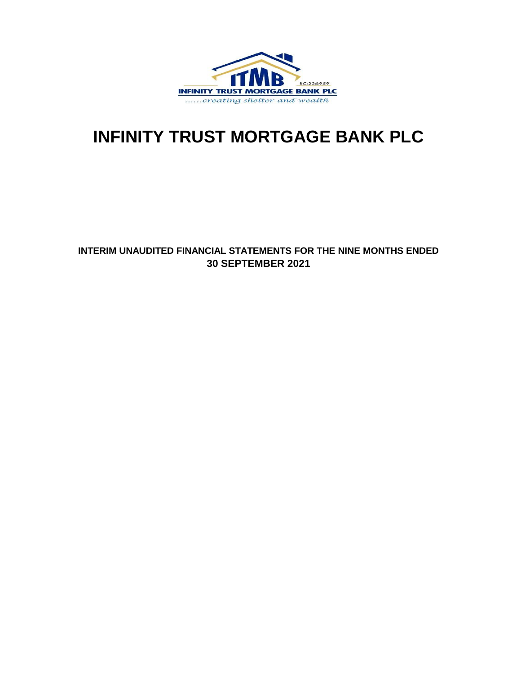

# **INFINITY TRUST MORTGAGE BANK PLC**

### **INTERIM UNAUDITED FINANCIAL STATEMENTS FOR THE NINE MONTHS ENDED 30 SEPTEMBER 2021**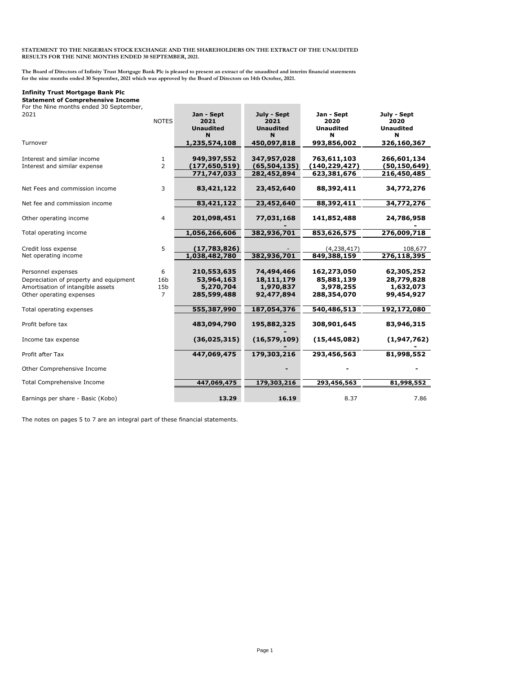#### **STATEMENT TO THE NIGERIAN STOCK EXCHANGE AND THE SHAREHOLDERS ON THE EXTRACT OF THE UNAUDITED RESULTS FOR THE NINE MONTHS ENDED 30 SEPTEMBER, 2021.**

**The Board of Directors of Infinity Trust Mortgage Bank Plc is pleased to present an extract of the unaudited and interim financial statements for the nine months ended 30 September, 2021 which was approved by the Board of Directors on 14th October, 2021.**

#### **Infinity Trust Mortgage Bank Plc**

**Statement of Comprehensive Income**

| For the Nine months ended 30 September,<br>2021                                                                               | <b>NOTES</b>                                  | Jan - Sept<br>2021<br><b>Unaudited</b><br>N           | July - Sept<br>2021<br><b>Unaudited</b><br>N        | Jan - Sept<br>2020<br><b>Unaudited</b><br>N           | July - Sept<br>2020<br><b>Unaudited</b><br>N        |
|-------------------------------------------------------------------------------------------------------------------------------|-----------------------------------------------|-------------------------------------------------------|-----------------------------------------------------|-------------------------------------------------------|-----------------------------------------------------|
| Turnover                                                                                                                      |                                               | 1,235,574,108                                         | 450,097,818                                         | 993,856,002                                           | 326,160,367                                         |
| Interest and similar income<br>Interest and similar expense                                                                   | $\mathbf{1}$<br>$\overline{2}$                | 949,397,552<br>(177, 650, 519)<br>771,747,033         | 347,957,028<br>(65,504,135)<br>282,452,894          | 763,611,103<br>(140, 229, 427)<br>623,381,676         | 266,601,134<br>(50,150,649)<br>216,450,485          |
| Net Fees and commission income                                                                                                | 3                                             | 83,421,122                                            | 23,452,640                                          | 88,392,411                                            | 34,772,276                                          |
| Net fee and commission income                                                                                                 |                                               | 83,421,122                                            | 23,452,640                                          | 88,392,411                                            | 34,772,276                                          |
| Other operating income                                                                                                        | $\overline{4}$                                | 201,098,451                                           | 77,031,168                                          | 141,852,488                                           | 24,786,958                                          |
| Total operating income                                                                                                        |                                               | 1,056,266,606                                         | 382,936,701                                         | 853,626,575                                           | 276,009,718                                         |
| Credit loss expense<br>Net operating income                                                                                   | 5                                             | (17,783,826)<br>1,038,482,780                         | 382,936,701                                         | (4, 238, 417)<br>849,388,159                          | 108,677<br>276,118,395                              |
| Personnel expenses<br>Depreciation of property and equipment<br>Amortisation of intangible assets<br>Other operating expenses | 6<br>16b<br>15 <sub>b</sub><br>$\overline{7}$ | 210,553,635<br>53,964,163<br>5,270,704<br>285,599,488 | 74,494,466<br>18,111,179<br>1,970,837<br>92,477,894 | 162,273,050<br>85,881,139<br>3,978,255<br>288,354,070 | 62,305,252<br>28,779,828<br>1,632,073<br>99,454,927 |
| Total operating expenses                                                                                                      |                                               | 555,387,990                                           | 187,054,376                                         | 540,486,513                                           | 192,172,080                                         |
| Profit before tax                                                                                                             |                                               | 483,094,790                                           | 195,882,325                                         | 308,901,645                                           | 83,946,315                                          |
| Income tax expense                                                                                                            |                                               | (36,025,315)                                          | (16, 579, 109)                                      | (15, 445, 082)                                        | (1,947,762)                                         |
| Profit after Tax                                                                                                              |                                               | 447,069,475                                           | 179,303,216                                         | 293,456,563                                           | 81,998,552                                          |
| Other Comprehensive Income                                                                                                    |                                               |                                                       |                                                     |                                                       |                                                     |
| Total Comprehensive Income                                                                                                    |                                               | 447,069,475                                           | 179,303,216                                         | 293,456,563                                           | 81,998,552                                          |
| Earnings per share - Basic (Kobo)                                                                                             |                                               | 13.29                                                 | 16.19                                               | 8.37                                                  | 7.86                                                |

The notes on pages 5 to 7 are an integral part of these financial statements.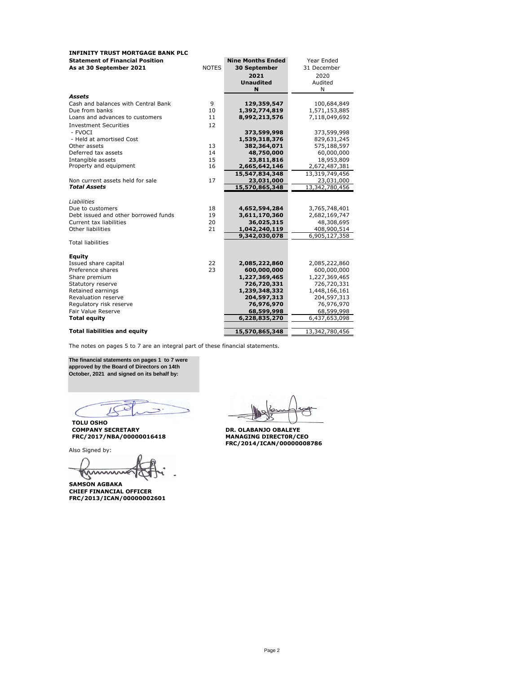| <b>INFINITY TRUST MORTGAGE BANK PLC</b> |              |                          |                |
|-----------------------------------------|--------------|--------------------------|----------------|
| <b>Statement of Financial Position</b>  |              | <b>Nine Months Ended</b> | Year Ended     |
| As at 30 September 2021                 | <b>NOTES</b> | 30 September             | 31 December    |
|                                         |              | 2021                     | 2020           |
|                                         |              | <b>Unaudited</b>         | Audited        |
|                                         |              | N                        | N              |
| <b>Assets</b>                           |              |                          |                |
| Cash and balances with Central Bank     | 9            | 129,359,547              | 100,684,849    |
| Due from banks                          | 10           | 1,392,774,819            | 1,571,153,885  |
| Loans and advances to customers         | 11           | 8,992,213,576            | 7,118,049,692  |
| <b>Investment Securities</b>            | 12           |                          |                |
| - FVOCI                                 |              | 373,599,998              | 373,599,998    |
| - Held at amortised Cost                |              | 1,539,318,376            | 829,631,245    |
| Other assets                            | 13           | 382,364,071              | 575,188,597    |
| Deferred tax assets                     | 14           | 48,750,000               | 60,000,000     |
| Intangible assets                       | 15           | 23,811,816               | 18,953,809     |
| Property and equipment                  | 16           | 2,665,642,146            | 2,672,487,381  |
|                                         |              | 15,547,834,348           | 13,319,749,456 |
| Non current assets held for sale        | 17           | 23,031,000               | 23,031,000     |
| <b>Total Assets</b>                     |              | 15,570,865,348           | 13,342,780,456 |
|                                         |              |                          |                |
| Liabilities                             |              |                          |                |
| Due to customers                        | 18           | 4,652,594,284            | 3,765,748,401  |
| Debt issued and other borrowed funds    | 19           | 3,611,170,360            | 2,682,169,747  |
| Current tax liabilities                 | 20           | 36,025,315               | 48,308,695     |
| Other liabilities                       | 21           | 1,042,240,119            | 408,900,514    |
| <b>Total liabilities</b>                |              | 9,342,030,078            | 6,905,127,358  |
|                                         |              |                          |                |
| Equity                                  |              |                          |                |
| Issued share capital                    | 22           | 2,085,222,860            | 2,085,222,860  |
| Preference shares                       | 23           | 600,000,000              | 600,000,000    |
| Share premium                           |              | 1,227,369,465            | 1,227,369,465  |
| Statutory reserve                       |              | 726,720,331              | 726,720,331    |
| Retained earnings                       |              | 1,239,348,332            | 1,448,166,161  |
| Revaluation reserve                     |              | 204,597,313              | 204,597,313    |
| Regulatory risk reserve                 |              | 76,976,970               | 76,976,970     |
| Fair Value Reserve                      |              | 68,599,998               | 68,599,998     |
| <b>Total equity</b>                     |              | 6,228,835,270            | 6,437,653,098  |
|                                         |              |                          |                |
| <b>Total liabilities and equity</b>     |              | 15,570,865,348           | 13,342,780,456 |

The notes on pages 5 to 7 are an integral part of these financial statements.

**The financial statements on pages 1 to 7 were approved by the Board of Directors on 14th October, 2021 and signed on its behalf by:**

**C** 70  $\epsilon$ 

**TOLU OSHO COMPANY SECRETARY DR. OLABANJO OBALEYE FRC/2017/NBA/00000016418 MANAGING DIRECT0R/CEO**

Also Signed by:

 $\cup$   $\cup$ 

**SAMSON AGBAKA CHIEF FINANCIAL OFFICER FRC/2013/ICAN/00000002601**

DR. OLABANJO OBALEYE<br>MANAGING DIRECTOR/CEO<br>FRC/2014/ICAN/00000008786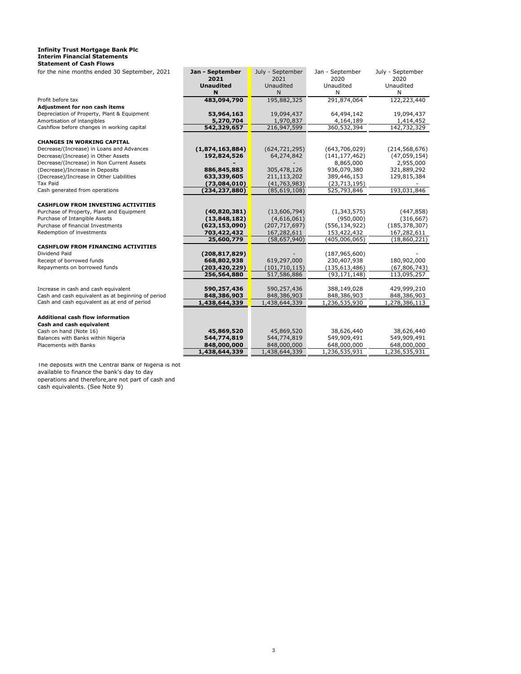#### **Infinity Trust Mortgage Bank Plc Interim Financial Statements Statement of Cash Flows**

| for the nine months ended 30 September, 2021       | Jan - September  | July - September | Jan - September | July - September |
|----------------------------------------------------|------------------|------------------|-----------------|------------------|
|                                                    | 2021             | 2021             | 2020            | 2020             |
|                                                    | <b>Unaudited</b> | Unaudited        | Unaudited       | Unaudited        |
|                                                    | N                | N                | N               | N                |
| Profit before tax                                  | 483,094,790      | 195,882,325      | 291,874,064     | 122,223,440      |
| Adjustment for non cash items                      |                  |                  |                 |                  |
| Depreciation of Property, Plant & Equipment        | 53,964,163       | 19,094,437       | 64,494,142      | 19,094,437       |
| Amortisation of intangibles                        | 5,270,704        | 1,970,837        | 4,164,189       | 1,414,452        |
| Cashflow before changes in working capital         | 542,329,657      | 216,947,599      | 360,532,394     | 142,732,329      |
|                                                    |                  |                  |                 |                  |
| <b>CHANGES IN WORKING CAPITAL</b>                  |                  |                  |                 |                  |
| Decrease/(Increase) in Loans and Advances          | (1,874,163,884)  | (624, 721, 295)  | (643,706,029)   | (214, 568, 676)  |
| Decrease/(Increase) in Other Assets                | 192,824,526      | 64,274,842       | (141, 177, 462) | (47,059,154)     |
| Decrease/(Increase) in Non Current Assets          |                  |                  | 8,865,000       | 2,955,000        |
| (Decrease)/Increase in Deposits                    | 886,845,883      | 305,478,126      | 936,079,380     | 321,889,292      |
| (Decrease)/Increase in Other Liabilities           | 633,339,605      | 211,113,202      | 389,446,153     | 129,815,384      |
| Tax Paid                                           | (73,084,010)     | (41, 763, 983)   | (23, 713, 195)  |                  |
| Cash generated from operations                     | (234, 237, 880)  | (85, 619, 108)   | 525,793,846     | 193,031,846      |
|                                                    |                  |                  |                 |                  |
| <b>CASHFLOW FROM INVESTING ACTIVITIES</b>          |                  |                  |                 |                  |
| Purchase of Property, Plant and Equipment          | (40, 820, 381)   | (13,606,794)     | (1,343,575)     | (447, 858)       |
| Purchase of Intangible Assets                      | (13,848,182)     | (4,616,061)      | (950,000)       | (316, 667)       |
| Purchase of financial Investments                  | (623, 153, 090)  | (207, 717, 697)  | (556, 134, 922) | (185, 378, 307)  |
| Redemption of investments                          | 703,422,432      | 167,282,611      | 153,422,432     | 167,282,611      |
|                                                    | 25,600,779       | (58, 657, 940)   | (405,006,065)   | (18,860,221)     |
| <b>CASHFLOW FROM FINANCING ACTIVITIES</b>          |                  |                  |                 |                  |
| Dividend Paid                                      | (208, 817, 829)  |                  | (187, 965, 600) |                  |
| Receipt of borrowed funds                          | 668,802,938      | 619,297,000      | 230,407,938     | 180,902,000      |
| Repayments on borrowed funds                       | (203, 420, 229)  | (101, 710, 115)  | (135, 613, 486) | (67, 806, 743)   |
|                                                    | 256,564,880      | 517,586,886      | (93, 171, 148)  | 113,095,257      |
| Increase in cash and cash equivalent               |                  | 590,257,436      | 388,149,028     | 429,999,210      |
| Cash and cash equivalent as at beginning of period | 590,257,436      |                  |                 |                  |
| Cash and cash equivalent as at end of period       | 848,386,903      | 848,386,903      | 848,386,903     | 848,386,903      |
|                                                    | 1,438,644,339    | 1,438,644,339    | 1,236,535,930   | 1,278,386,113    |
| <b>Additional cash flow information</b>            |                  |                  |                 |                  |
| Cash and cash equivalent                           |                  |                  |                 |                  |
| Cash on hand (Note 16)                             | 45,869,520       | 45,869,520       | 38,626,440      | 38,626,440       |
| Balances with Banks within Nigeria                 | 544,774,819      | 544,774,819      | 549,909,491     | 549,909,491      |
| Placements with Banks                              | 848,000,000      | 848,000,000      | 648,000,000     | 648,000,000      |
|                                                    | 1,438,644,339    | 1,438,644,339    | 1,236,535,931   | 1,236,535,931    |
|                                                    |                  |                  |                 |                  |

The deposits with the Central Bank of Nigeria is not available to finance the bank's day to day operations and therefore,are not part of cash and cash equivalents. (See Note 9)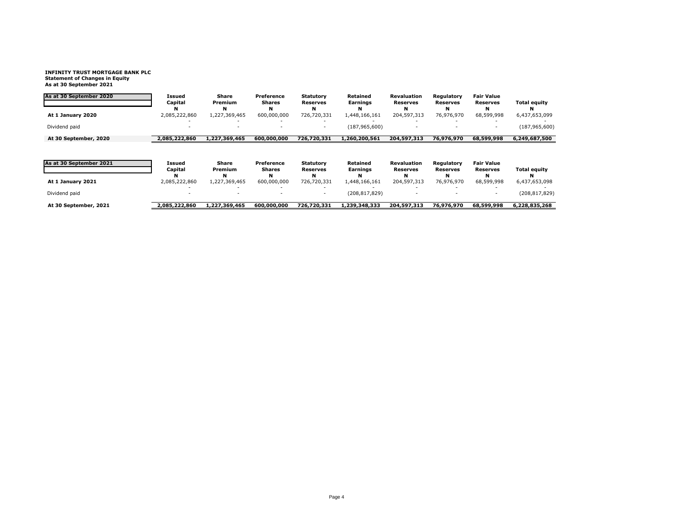## **INFINITY TRUST MORTGAGE BANK PLC Statement of Changes in Equity As at 30 September 2021**

| As at 30 September 2020 | Issued<br>Capital  | Share<br>Premium   | Preference<br><b>Shares</b> | Statutory<br><b>Reserves</b>        | Retained<br>Earnings | <b>Revaluation</b><br><b>Reserves</b> | Regulatory<br><b>Reserves</b> | <b>Fair Value</b><br><b>Reserves</b> | <b>Total equity</b> |
|-------------------------|--------------------|--------------------|-----------------------------|-------------------------------------|----------------------|---------------------------------------|-------------------------------|--------------------------------------|---------------------|
| At 1 January 2020       | 2,085,222,860      | N<br>1,227,369,465 | 600,000,000                 | N<br>726.720.331                    | 1,448,166,161        | N<br>204,597,313                      | 76.976.970                    | 68.599.998                           | 6,437,653,099       |
| Dividend paid           |                    |                    |                             |                                     | (187, 965, 600)      |                                       |                               |                                      | (187, 965, 600)     |
| At 30 September, 2020   | 2,085,222,860      | 1,227,369,465      | 600,000,000                 | 726,720,331                         | 1,260,200,561        | 204,597,313                           | 76,976,970                    | 68,599,998                           | 6,249,687,500       |
| As at 30 September 2021 | Issued<br>Capital  | Share<br>Premium   | Preference<br><b>Shares</b> | <b>Statutory</b><br><b>Reserves</b> | Retained<br>Earnings | <b>Revaluation</b><br><b>Reserves</b> | Regulatory<br><b>Reserves</b> | <b>Fair Value</b><br><b>Reserves</b> | <b>Total equity</b> |
| At 1 January 2021       | N<br>2,085,222,860 | N<br>1,227,369,465 | 600,000,000                 | N<br>726,720,331                    | 1,448,166,161        | N<br>204,597,313                      | 76,976,970                    | N<br>68,599,998                      | 6,437,653,098       |
| Dividend paid           |                    |                    |                             |                                     | (208, 817, 829)      |                                       |                               |                                      | (208, 817, 829)     |
| At 30 September, 2021   | 2,085,222,860      | 1,227,369,465      | 600,000,000                 | 726,720,331                         | 1,239,348,333        | 204,597,313                           | 76,976,970                    | 68,599,998                           | 6,228,835,268       |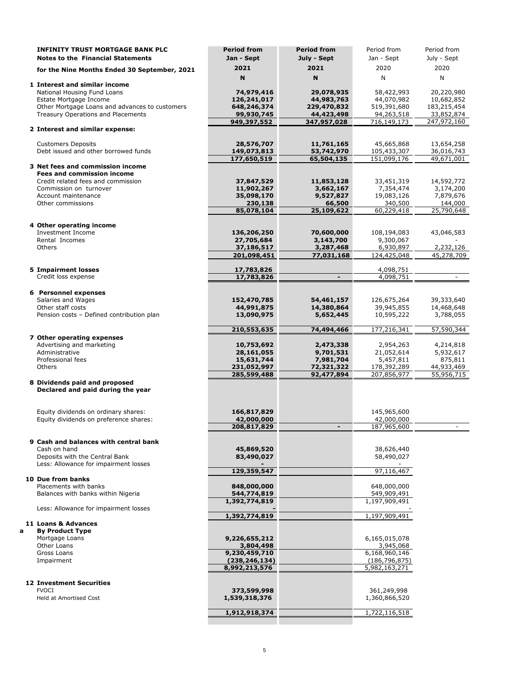|   | <b>INFINITY TRUST MORTGAGE BANK PLC</b>                                 | <b>Period from</b>               | <b>Period from</b>       | Period from                      | Period from              |
|---|-------------------------------------------------------------------------|----------------------------------|--------------------------|----------------------------------|--------------------------|
|   | <b>Notes to the Financial Statements</b>                                | Jan - Sept                       | July - Sept              | Jan - Sept                       | July - Sept              |
|   | for the Nine Months Ended 30 September, 2021                            | 2021                             | 2021                     | 2020                             | 2020                     |
|   |                                                                         | N                                | N                        | N                                | N                        |
|   | 1 Interest and similar income                                           |                                  |                          |                                  |                          |
|   | National Housing Fund Loans<br>Estate Mortgage Income                   | 74,979,416<br>126,241,017        | 29,078,935<br>44,983,763 | 58,422,993<br>44,070,982         | 20,220,980<br>10,682,852 |
|   | Other Mortgage Loans and advances to customers                          | 648,246,374                      | 229,470,832              | 519,391,680                      | 183,215,454              |
|   | Treasury Operations and Placements                                      | 99,930,745                       | 44,423,498               | 94,263,518                       | 33,852,874               |
|   |                                                                         | 949,397,552                      | 347,957,028              | 716,149,173                      | 247,972,160              |
|   | 2 Interest and similar expense:                                         |                                  |                          |                                  |                          |
|   | <b>Customers Deposits</b>                                               | 28,576,707                       | 11,761,165               | 45,665,868                       | 13,654,258               |
|   | Debt issued and other borrowed funds                                    | 149,073,813<br>177,650,519       | 53,742,970<br>65,504,135 | 105,433,307<br>151,099,176       | 36,016,743<br>49,671,001 |
|   | 3 Net fees and commission income                                        |                                  |                          |                                  |                          |
|   | <b>Fees and commission income</b>                                       |                                  |                          |                                  |                          |
|   | Credit related fees and commission                                      | 37,847,529                       | 11,853,128               | 33,451,319                       | 14,592,772               |
|   | Commission on turnover<br>Account maintenance                           | 11,902,267<br>35,098,170         | 3,662,167<br>9,527,827   | 7,354,474<br>19,083,126          | 3,174,200<br>7,879,676   |
|   | Other commissions                                                       | 230,138                          | 66,500                   | 340,500                          | 144,000                  |
|   |                                                                         | 85,078,104                       | 25,109,622               | 60,229,418                       | 25,790,648               |
|   |                                                                         |                                  |                          |                                  |                          |
|   | 4 Other operating income<br><b>Investment Income</b>                    | 136,206,250                      | 70,600,000               | 108,194,083                      | 43,046,583               |
|   | Rental Incomes                                                          | 27,705,684                       | 3,143,700                | 9,300,067                        |                          |
|   | <b>Others</b>                                                           | 37,186,517                       | 3,287,468                | 6,930,897                        | 2,232,126                |
|   |                                                                         | 201,098,451                      | 77,031,168               | 124,425,048                      | 45,278,709               |
|   | <b>5 Impairment losses</b>                                              | 17,783,826                       |                          | 4,098,751                        |                          |
|   | Credit loss expense                                                     | 17,783,826                       | $\overline{\phantom{0}}$ | 4,098,751                        | $\sim$                   |
|   |                                                                         |                                  |                          |                                  |                          |
|   | 6 Personnel expenses<br>Salaries and Wages                              | 152,470,785                      | 54,461,157               | 126,675,264                      | 39,333,640               |
|   | Other staff costs                                                       | 44,991,875                       | 14,380,864               | 39,945,855                       | 14,468,648               |
|   | Pension costs - Defined contribution plan                               | 13,090,975                       | 5,652,445                | 10,595,222                       | 3,788,055                |
|   |                                                                         |                                  |                          |                                  |                          |
|   | 7 Other operating expenses                                              | 210,553,635                      | 74,494,466               | 177,216,341                      | 57,590,344               |
|   | Advertising and marketing                                               | 10,753,692                       | 2,473,338                | 2,954,263                        | 4,214,818                |
|   | Administrative                                                          | 28,161,055                       | 9,701,531                | 21,052,614                       | 5,932,617                |
|   | Professional fees                                                       | 15,631,744                       | 7,981,704                | 5,457,811                        | 875,811                  |
|   | <b>Others</b>                                                           | 231,052,997<br>285,599,488       | 72,321,322<br>92,477,894 | 178,392,289<br>207,856,977       | 44,933,469<br>55,956,715 |
|   | 8 Dividends paid and proposed<br>Declared and paid during the year      |                                  |                          |                                  |                          |
|   | Equity dividends on ordinary shares:                                    | 166,817,829                      |                          | 145,965,600                      |                          |
|   | Equity dividends on preference shares:                                  | 42,000,000                       |                          | 42,000,000                       |                          |
|   |                                                                         | 208,817,829                      |                          | 187,965,600                      |                          |
|   | 9 Cash and balances with central bank                                   |                                  |                          |                                  |                          |
|   | Cash on hand                                                            | 45,869,520                       |                          | 38,626,440                       |                          |
|   | Deposits with the Central Bank<br>Less: Allowance for impairment losses | 83,490,027                       |                          | 58,490,027                       |                          |
|   |                                                                         | 129,359,547                      |                          | 97,116,467                       |                          |
|   | 10 Due from banks                                                       |                                  |                          |                                  |                          |
|   | Placements with banks<br>Balances with banks within Nigeria             | 848,000,000<br>544,774,819       |                          | 648,000,000<br>549,909,491       |                          |
|   |                                                                         | 1,392,774,819                    |                          | 1,197,909,491                    |                          |
|   | Less: Allowance for impairment losses                                   |                                  |                          | 1,197,909,491                    |                          |
|   | 11 Loans & Advances                                                     | 1,392,774,819                    |                          |                                  |                          |
| a | <b>By Product Type</b>                                                  |                                  |                          |                                  |                          |
|   | Mortgage Loans                                                          | 9,226,655,212                    |                          | 6,165,015,078                    |                          |
|   | Other Loans<br>Gross Loans                                              | 3,804,498                        |                          | 3,945,068                        |                          |
|   | Impairment                                                              | 9,230,459,710<br>(238, 246, 134) |                          | 6,168,960,146<br>(186, 796, 875) |                          |
|   |                                                                         | 8,992,213,576                    |                          | 5,982,163,271                    |                          |
|   |                                                                         |                                  |                          |                                  |                          |
|   | <b>12 Investment Securities</b><br><b>FVOCI</b>                         | 373,599,998                      |                          | 361,249,998                      |                          |
|   | Held at Amortised Cost                                                  | 1,539,318,376                    |                          | 1,360,866,520                    |                          |
|   |                                                                         |                                  |                          |                                  |                          |
|   |                                                                         | 1,912,918,374                    |                          | 1,722,116,518                    |                          |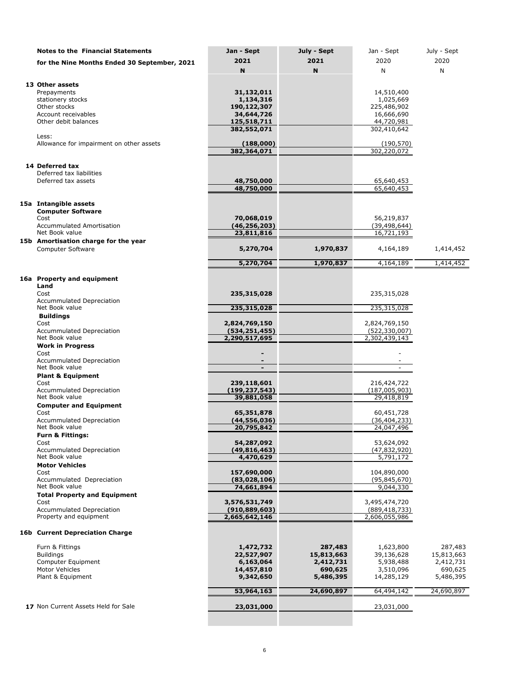| <b>Notes to the Financial Statements</b>            | Jan - Sept                       | July - Sept          | Jan - Sept                       | July - Sept          |
|-----------------------------------------------------|----------------------------------|----------------------|----------------------------------|----------------------|
| for the Nine Months Ended 30 September, 2021        | 2021                             | 2021                 | 2020                             | 2020                 |
|                                                     | N                                | N                    | N                                | N                    |
| 13 Other assets                                     |                                  |                      |                                  |                      |
| Prepayments                                         | 31,132,011                       |                      | 14,510,400                       |                      |
| stationery stocks<br>Other stocks                   | 1,134,316                        |                      | 1,025,669                        |                      |
| Account receivables                                 | 190,122,307<br>34,644,726        |                      | 225,486,902<br>16,666,690        |                      |
| Other debit balances                                | 125,518,711                      |                      | 44,720,981                       |                      |
|                                                     | 382,552,071                      |                      | 302,410,642                      |                      |
| Less:<br>Allowance for impairment on other assets   | (188,000)                        |                      | (190, 570)                       |                      |
|                                                     | 382,364,071                      |                      | 302,220,072                      |                      |
|                                                     |                                  |                      |                                  |                      |
| 14 Deferred tax<br>Deferred tax liabilities         |                                  |                      |                                  |                      |
| Deferred tax assets                                 | 48,750,000                       |                      | 65,640,453                       |                      |
|                                                     | 48,750,000                       |                      | 65,640,453                       |                      |
| 15a Intangible assets                               |                                  |                      |                                  |                      |
| <b>Computer Software</b>                            |                                  |                      |                                  |                      |
| Cost                                                | 70,068,019                       |                      | 56,219,837                       |                      |
| <b>Accummulated Amortisation</b><br>Net Book value  | (46,256,203)                     |                      | (39, 498, 644)                   |                      |
| 15b Amortisation charge for the year                | 23,811,816                       |                      | 16,721,193                       |                      |
| <b>Computer Software</b>                            | 5,270,704                        | 1,970,837            | 4,164,189                        | 1,414,452            |
|                                                     | 5,270,704                        | 1,970,837            | 4,164,189                        | 1,414,452            |
|                                                     |                                  |                      |                                  |                      |
| 16a Property and equipment                          |                                  |                      |                                  |                      |
| Land<br>Cost                                        | 235,315,028                      |                      | 235,315,028                      |                      |
| Accummulated Depreciation                           |                                  |                      |                                  |                      |
| Net Book value                                      | 235,315,028                      |                      | 235,315,028                      |                      |
| <b>Buildings</b><br>Cost                            | 2,824,769,150                    |                      | 2,824,769,150                    |                      |
| Accummulated Depreciation                           | (534, 251, 455)                  |                      | (522, 330, 007)                  |                      |
| Net Book value                                      | 2,290,517,695                    |                      | 2,302,439,143                    |                      |
| <b>Work in Progress</b><br>Cost                     |                                  |                      |                                  |                      |
| Accummulated Depreciation                           |                                  |                      |                                  |                      |
| Net Book value                                      |                                  |                      |                                  |                      |
| <b>Plant &amp; Equipment</b>                        |                                  |                      |                                  |                      |
| Cost<br><b>Accummulated Depreciation</b>            | 239,118,601<br>(199,237,543)     |                      | 216,424,722<br>(187,005,903)     |                      |
| Net Book value                                      | 39,881,058                       |                      | 29,418,819                       |                      |
| <b>Computer and Equipment</b>                       |                                  |                      |                                  |                      |
| Cost<br><b>Accummulated Depreciation</b>            | 65,351,878<br>(44,556,036)       |                      | 60,451,728<br>(36, 404, 233)     |                      |
| Net Book value                                      | 20,795,842                       |                      | 24,047,496                       |                      |
| <b>Furn &amp; Fittings:</b>                         |                                  |                      |                                  |                      |
| Cost<br><b>Accummulated Depreciation</b>            | 54,287,092<br>(49, 816, 463)     |                      | 53,624,092                       |                      |
| Net Book value                                      | 4,470,629                        |                      | (47, 832, 920)<br>5,791,172      |                      |
| <b>Motor Vehicles</b>                               |                                  |                      |                                  |                      |
| Cost                                                | 157,690,000                      |                      | 104,890,000                      |                      |
| Accummulated Depreciation<br>Net Book value         | (83,028,106)<br>74,661,894       |                      | (95, 845, 670)<br>9,044,330      |                      |
| <b>Total Property and Equipment</b>                 |                                  |                      |                                  |                      |
| Cost                                                | 3,576,531,749                    |                      | 3,495,474,720                    |                      |
| Accummulated Depreciation<br>Property and equipment | (910, 889, 603)<br>2,665,642,146 |                      | (889, 418, 733)<br>2,606,055,986 |                      |
|                                                     |                                  |                      |                                  |                      |
| <b>16b Current Depreciation Charge</b>              |                                  |                      |                                  |                      |
| Furn & Fittings                                     | 1,472,732                        | 287,483              | 1,623,800                        | 287,483              |
| <b>Buildings</b>                                    | 22,527,907                       | 15,813,663           | 39,136,628                       | 15,813,663           |
| Computer Equipment                                  | 6,163,064                        | 2,412,731            | 5,938,488                        | 2,412,731            |
| Motor Vehicles<br>Plant & Equipment                 | 14,457,810<br>9,342,650          | 690,625<br>5,486,395 | 3,510,096<br>14,285,129          | 690,625<br>5,486,395 |
|                                                     |                                  |                      |                                  |                      |
|                                                     | 53,964,163                       | 24,690,897           | 64,494,142                       | 24,690,897           |
| 17 Non Current Assets Held for Sale                 | 23,031,000                       |                      | 23,031,000                       |                      |
|                                                     |                                  |                      |                                  |                      |